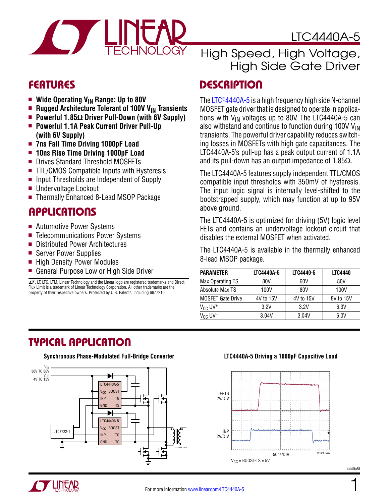

LTC4440A-5

- **Nide Operating V<sub>IN</sub> Range: Up to 80V**
- **n** Rugged Architecture Tolerant of 100V V<sub>IN</sub> Transients
- Powerful 1.85Ω Driver Pull-Down (with 6V Supply)
- <sup>n</sup> **Powerful 1.1A Peak Current Driver Pull-Up (with 6V Supply)**
- <sup>n</sup> **7ns Fall Time Driving 1000pF Load**
- **n** 10ns Rise Time Driving 1000pF Load
- Drives Standard Threshold MOSFETs
- $\blacksquare$  TTL/CMOS Compatible Inputs with Hysteresis
- $\blacksquare$  Input Thresholds are Independent of Supply
- Undervoltage Lockout
- Thermally Enhanced 8-Lead MSOP Package

### Applications

- Automotive Power Systems
- Telecommunications Power Systems
- Distributed Power Architectures
- Server Power Supplies
- $\blacksquare$  High Density Power Modules
- General Purpose Low or High Side Driver

 $I$ , LT, LTC, LTM, Linear Technology and the Linear logo are registered trademarks and Direct Flux Limit is a trademark of Linear Technology Corporation. All other trademarks are the property of their respective owners. Protected by U.S. Patents, including 6677210.

### High Speed, High Voltage, High Side Gate Driver

### Features Description

The LTC<sup>®4440A-5</sup> is a high frequency high side N-channel MOSFET gate driver that is designed to operate in applications with  $V_{IN}$  voltages up to 80V. The LTC4440A-5 can also withstand and continue to function during 100V  $V_{IN}$ transients. The powerful driver capability reduces switching losses in MOSFETs with high gate capacitances. The LTC4440A-5's pull-up has a peak output current of 1.1A and its pull-down has an output impedance of 1.85 $\Omega$ .

The LTC4440A-5 features supply independent TTL/CMOS compatible input thresholds with 350mV of hysteresis. The input logic signal is internally level-shifted to the bootstrapped supply, which may function at up to 95V above ground.

The LTC4440A-5 is optimized for driving (5V) logic level FETs and contains an undervoltage lockout circuit that disables the external MOSFET when activated.

The LTC4440A-5 is available in the thermally enhanced 8-lead MSOP package.

| <b>PARAMETER</b>          | LTC4440A-5 | LTC4440-5 | <b>LTC4440</b> |
|---------------------------|------------|-----------|----------------|
| Max Operating TS          | 80V        | 60V       | 80V            |
| Absolute Max TS           | 100V       | 80V       | 100V           |
| <b>MOSFET Gate Drive</b>  | 4V to 15V  | 4V to 15V | 8V to 15V      |
| $V_{CC}$ UV <sup>+</sup>  | 3.2V       | 3.2V      | 6.3V           |
| $V_{CC}$ UV <sup>-1</sup> | 3.04V      | 3.04V     | 6.0V           |

### Typical Application



#### **Synchronous Phase-Modulated Full-Bridge Converter LTC4440A-5 Driving a 1000pF Capacitive Load**



4440a5f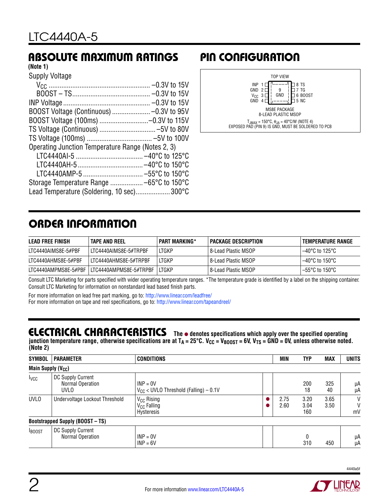### Absolute Maximum Ratings

#### **(Note 1)**

| Supply Voltage                                    |  |
|---------------------------------------------------|--|
|                                                   |  |
|                                                   |  |
|                                                   |  |
| BOOST Voltage (Continuous)  -0.3V to 95V          |  |
|                                                   |  |
|                                                   |  |
|                                                   |  |
| Operating Junction Temperature Range (Notes 2, 3) |  |
|                                                   |  |
|                                                   |  |
| LTC4440AMP-5  -55°C to 150°C                      |  |
| Storage Temperature Range  -65°C to 150°C         |  |
| Lead Temperature (Soldering, 10 sec)300°C         |  |

### Pin Configuration



### Order Information

| <b>LEAD FREE FINISH</b> | <b>TAPE AND REEL</b>                         | <b>PART MARKING*</b> | PACKAGE DESCRIPTION   | <b>TEMPERATURE RANGE</b> |
|-------------------------|----------------------------------------------|----------------------|-----------------------|--------------------------|
| LTC4440AIMS8E-5#PBF     | LTC4440AIMS8E-5#TRPBF                        | LTGKP                | l 8-Lead Plastic MSOP | 1–40°C to 125°C          |
| LTC4440AHMS8E-5#PBF     | ITC4440AHMS8F-5#TRPBF                        | LTGKP                | l 8-Lead Plastic MSOP | 1–40°C to 150°C          |
|                         | LTC4440AMPMS8E-5#PBF LLTC4440AMPMS8E-5#TRPBF | ITGKP                | l 8-Lead Plastic MSOP | 1–55°C to 150°C          |

Consult LTC Marketing for parts specified with wider operating temperature ranges. \*The temperature grade is identified by a label on the shipping container. Consult LTC Marketing for information on nonstandard lead based finish parts.

For more information on lead free part marking, go to: http://www.linear.com/leadfree/ For more information on tape and reel specifications, go to: http://www.linear.com/tapeandreel/

### Electrical Characteristics **The** ● **denotes specifications which apply over the specified operating**

junction temperature range, otherwise specifications are at T<sub>A</sub> = 25°C. V<sub>CC</sub> = V<sub>BOOST</sub> = 6V, V<sub>TS</sub> = GND = 0V, unless otherwise noted. **(Note 2)**

| <b>SYMBOL</b>                  | <b>PARAMETER</b>                                     | <b>CONDITIONS</b>                                               | <b>MIN</b>   | <b>TYP</b>          | <b>MAX</b>   | <b>UNITS</b> |
|--------------------------------|------------------------------------------------------|-----------------------------------------------------------------|--------------|---------------------|--------------|--------------|
| Main Supply (V <sub>CC</sub> ) |                                                      |                                                                 |              |                     |              |              |
| <b>I</b> <sub>VCC</sub>        | DC Supply Current<br>Normal Operation<br><b>UVLO</b> | $INP = 0V$<br>$V_{CC}$ < UVLO Threshold (Falling) – 0.1V        |              | 200<br>18           | 325<br>40    | μA<br>μA     |
| <b>UVLO</b>                    | Undervoltage Lockout Threshold                       | V <sub>CC</sub> Rising<br>V <sub>CC</sub> Falling<br>Hysteresis | 2.75<br>2.60 | 3.20<br>3.04<br>160 | 3.65<br>3.50 | V<br>V<br>mV |
|                                | <b>Bootstrapped Supply (BOOST - TS)</b>              |                                                                 |              |                     |              |              |
| <b>BOOST</b>                   | DC Supply Current<br>Normal Operation                | $INP = 0V$<br>$INP = 6V$                                        |              | 0<br>310            | 450          | μA<br>μA     |

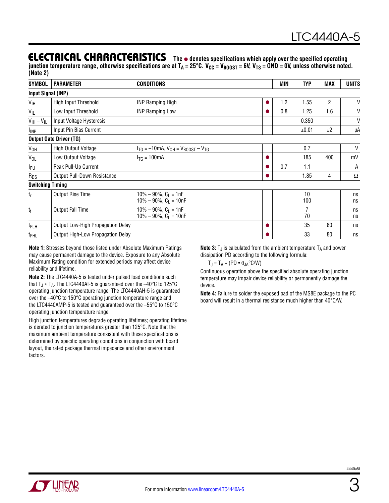### **ELECTRICAL CHARACTERISTICS** The  $\bullet$  denotes specifications which apply over the specified operating

junction temperature range, otherwise specifications are at T<sub>A</sub> = 25°C. V<sub>CC</sub> = V<sub>BOOST</sub> = 6V, V<sub>TS</sub> = GND = 0V, unless otherwise noted. **(Note 2)**

| <b>SYMBOL</b>           | <b>PARAMETER</b>                  | <b>CONDITIONS</b>                                           |  | MIN | <b>TYP</b> | <b>MAX</b>     | UNITS    |
|-------------------------|-----------------------------------|-------------------------------------------------------------|--|-----|------------|----------------|----------|
|                         | <b>Input Signal (INP)</b>         |                                                             |  |     |            |                |          |
| V <sub>IH</sub>         | High Input Threshold              | <b>INP Ramping High</b>                                     |  | 1.2 | 1.55       | $\overline{2}$ | V        |
| $V_{IL}$                | Low Input Threshold               | <b>INP Ramping Low</b>                                      |  | 0.8 | 1.25       | 1.6            | V        |
| $V_{IH} - V_{IL}$       | Input Voltage Hysteresis          |                                                             |  |     | 0.350      |                | V        |
| $I_{\text{IMP}}$        | Input Pin Bias Current            |                                                             |  |     | ±0.01      | ±2             | μA       |
|                         | <b>Output Gate Driver (TG)</b>    |                                                             |  |     |            |                |          |
| $V_{OH}$                | High Output Voltage               | $I_{TG} = -10mA$ , $V_{OH} = V_{BOOST} - V_{TG}$            |  |     | 0.7        |                | V        |
| $V_{OL}$                | Low Output Voltage                | $I_{TG} = 100mA$                                            |  |     | 185        | 400            | mV       |
| I <sub>PU</sub>         | Peak Pull-Up Current              |                                                             |  | 0.7 | 1.1        |                | A        |
| $R_{DS}$                | Output Pull-Down Resistance       |                                                             |  |     | 1.85       | 4              | Ω        |
| <b>Switching Timing</b> |                                   |                                                             |  |     |            |                |          |
| $t_{r}$                 | Output Rise Time                  | $10\% - 90\%$ , $C_L = 1nF$<br>$10\% - 90\%$ , $C_L = 10nF$ |  |     | 10<br>100  |                | ns<br>ns |
| $t_{\rm f}$             | Output Fall Time                  | $10\% - 90\%$ , $C_L = 1nF$<br>$10\% - 90\%$ , $C_1 = 10nF$ |  |     | 7<br>70    |                | ns<br>ns |
| t <sub>PLH</sub>        | Output Low-High Propagation Delay |                                                             |  |     | 35         | 80             | ns       |
| t <sub>PHL</sub>        | Output High-Low Propagation Delay |                                                             |  |     | 33         | 80             | ns       |

**Note 1:** Stresses beyond those listed under Absolute Maximum Ratings may cause permanent damage to the device. Exposure to any Absolute Maximum Rating condition for extended periods may affect device reliability and lifetime.

**Note 2:** The LTC4440A-5 is tested under pulsed load conditions such that  $T_J \approx T_A$ . The LTC4440AI-5 is guaranteed over the -40°C to 125°C operating junction temperature range, The LTC4440AH-5 is guaranteed over the –40°C to 150°C operating junction temperature range and the LTC4440AMP-5 is tested and guaranteed over the –55°C to 150°C operating junction temperature range.

High junction temperatures degrade operating lifetimes; operating lifetime is derated to junction temperatures greater than 125°C. Note that the maximum ambient temperature consistent with these specifications is determined by specific operating conditions in conjunction with board layout, the rated package thermal impedance and other environment factors.

**Note 3:**  $T_J$  is calculated from the ambient temperature  $T_A$  and power dissipation PD according to the following formula:

$$
T_J = T_A + (PD \bullet \theta_{JA} \degree C/W)
$$

Continuous operation above the specified absolute operating junction temperature may impair device reliability or permanently damage the device.

**Note 4:** Failure to solder the exposed pad of the MS8E package to the PC board will result in a thermal resistance much higher than 40°C/W.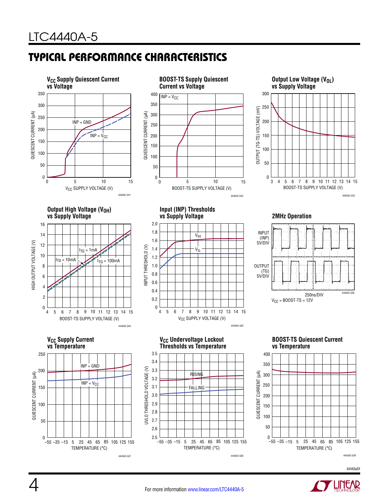# Typical Performance Characteristics

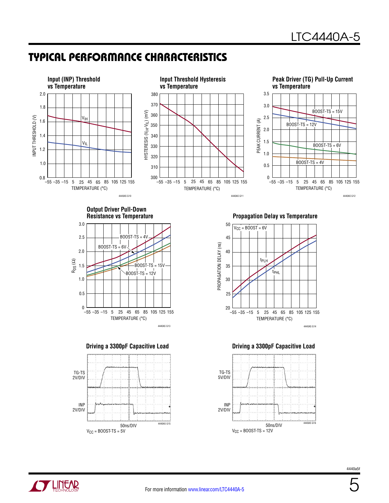### Typical Performance Characteristics

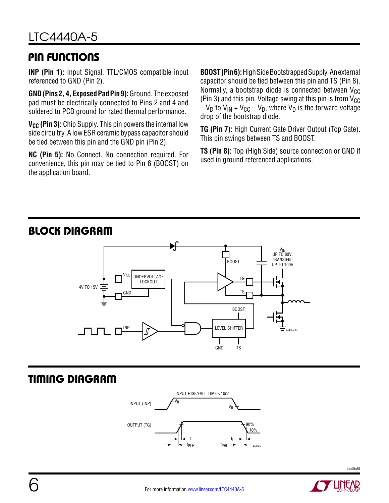### Pin Functions

**INP (Pin 1):** Input Signal. TTL/CMOS compatible input referenced to GND (Pin 2).

**GND (Pins 2, 4, Exposed Pad Pin 9):** Ground. The exposed pad must be electrically connected to Pins 2 and 4 and soldered to PCB ground for rated thermal performance.

**V<sub>CC</sub>** (Pin 3): Chip Supply. This pin powers the internal low side circuitry. A low ESR ceramic bypass capacitor should be tied between this pin and the GND pin (Pin 2).

**NC (Pin 5):** No Connect. No connection required. For convenience, this pin may be tied to Pin 6 (BOOST) on the application board.

**BOOST (Pin 6):** High Side Bootstrapped Supply. An external capacitor should be tied between this pin and TS (Pin 8). Normally, a bootstrap diode is connected between  $V_{CC}$ (Pin 3) and this pin. Voltage swing at this pin is from  $V_{CC}$  $-V_D$  to  $V_{IN}$  +  $V_{CC}$  –  $V_D$ , where  $V_D$  is the forward voltage drop of the bootstrap diode.

**TG (Pin 7):** High Current Gate Driver Output (Top Gate). This pin swings between TS and BOOST.

**TS (Pin 8):** Top (High Side) source connection or GND if used in ground referenced applications.

#### BOOST TG BOOST 4440A5 BD VIN UP TO 80V, TRANSIENT UP TO 100V TS UNDERVOLTAGE **LOCKOUT** LEVEL SHIFTER Vcc 4V TO 15V GND INP

# Timing Diagram

Block Diagram



GND TS

4440a5f

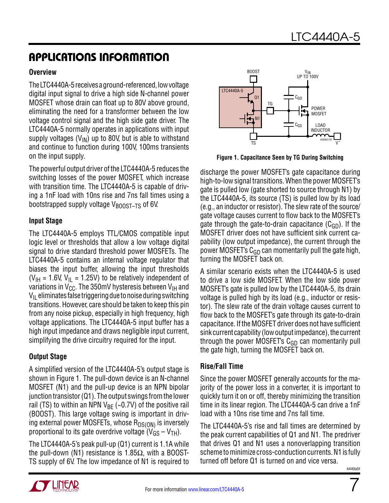### Applications Information

#### **Overview**

The LTC4440A-5 receives a ground-referenced, low voltage digital input signal to drive a high side N-channel power MOSFET whose drain can float up to 80V above ground, eliminating the need for a transformer between the low voltage control signal and the high side gate driver. The LTC4440A-5 normally operates in applications with input supply voltages ( $V_{IN}$ ) up to 80V, but is able to withstand and continue to function during 100V, 100ms transients on the input supply.

The powerful output driver of the LTC4440A-5 reduces the switching losses of the power MOSFET, which increase with transition time. The LTC4440A-5 is capable of driving a 1nF load with 10ns rise and 7ns fall times using a bootstrapped supply voltage V<sub>BOOST-TS</sub> of 6V.

#### **Input Stage**

The LTC4440A-5 employs TTL/CMOS compatible input logic level or thresholds that allow a low voltage digital signal to drive standard threshold power MOSFETs. The LTC4440A-5 contains an internal voltage regulator that biases the input buffer, allowing the input thresholds ( $V_{\text{IH}}$  = 1.6V,  $V_{\text{IL}}$  = 1.25V) to be relatively independent of variations in  $V_{CC}$ . The 350mV hysteresis between  $V_{IH}$  and  $V_{II}$  eliminates false triggering due to noise during switching transitions. However, care should be taken to keep this pin from any noise pickup, especially in high frequency, high voltage applications. The LTC4440A-5 input buffer has a high input impedance and draws negligible input current, simplifying the drive circuitry required for the input.

#### **Output Stage**

A simplified version of the LTC4440A-5's output stage is shown in Figure 1. The pull-down device is an N-channel MOSFET (N1) and the pull-up device is an NPN bipolar junction transistor (Q1). The output swings from the lower rail (TS) to within an NPN  $V_{BF}$  (~0.7V) of the positive rail (BOOST). This large voltage swing is important in driving external power MOSFETs, whose  $R_{DS(ON)}$  is inversely proportional to its gate overdrive voltage  $(V_{GS} - V_{TH})$ .

The LTC4440A-5's peak pull-up (Q1) current is 1.1A while the pull-down (N1) resistance is 1.85 $Ω$ , with a BOOST-TS supply of 6V. The low impedance of N1 is required to



**Figure 1. Capacitance Seen by TG During Switching**

discharge the power MOSFET's gate capacitance during high-to-low signal transitions. When the power MOSFET's gate is pulled low (gate shorted to source through N1) by the LTC4440A-5, its source (TS) is pulled low by its load (e.g., an inductor or resistor). The slew rate of the source/ gate voltage causes current to flow back to the MOSFET's gate through the gate-to-drain capacitance  $(C_{GD})$ . If the MOSFET driver does not have sufficient sink current capability (low output impedance), the current through the power MOSFET's  $C_{GD}$  can momentarily pull the gate high, turning the MOSFET back on.

A similar scenario exists when the LTC4440A-5 is used to drive a low side MOSFET. When the low side power MOSFET's gate is pulled low by the LTC4440A-5, its drain voltage is pulled high by its load (e.g., inductor or resistor). The slew rate of the drain voltage causes current to flow back to the MOSFET's gate through its gate-to-drain capacitance. If the MOSFET driver does not have sufficient sink current capability (low output impedance), the current through the power MOSFET's  $C_{GD}$  can momentarily pull the gate high, turning the MOSFET back on.

#### **Rise/Fall Time**

Since the power MOSFET generally accounts for the majority of the power loss in a converter, it is important to quickly turn it on or off, thereby minimizing the transition time in its linear region. The LTC4440A-5 can drive a 1nF load with a 10ns rise time and 7ns fall time.

The LTC4440A-5's rise and fall times are determined by the peak current capabilities of Q1 and N1. The predriver that drives Q1 and N1 uses a nonoverlapping transition scheme to minimize cross-conduction currents. N1 is fully turned off before Q1 is turned on and vice versa.

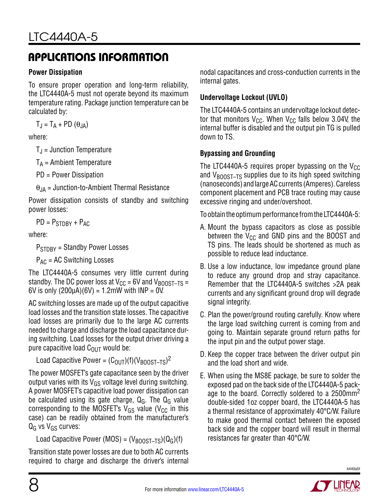### Applications Information

#### **Power Dissipation**

To ensure proper operation and long-term reliability, the LTC4440A-5 must not operate beyond its maximum temperature rating. Package junction temperature can be calculated by:

 $T_{\rm J} = T_{\rm A} + \rm PD \left( \theta_{\rm JA} \right)$ 

where:

 $T_{\rm J}$  = Junction Temperature

 $T_A$  = Ambient Temperature

PD = Power Dissipation

 $\theta_{JA}$  = Junction-to-Ambient Thermal Resistance

Power dissipation consists of standby and switching power losses:

 $PD = P_{STDRY} + P_{AC}$ 

where:

 $P_{STDBY}$  = Standby Power Losses

 $P_{AC}$  = AC Switching Losses

The LTC4440A-5 consumes very little current during standby. The DC power loss at  $V_{CC}$  = 6V and  $V_{BOOST-TS}$  = 6V is only  $(200\mu A)(6V) = 1.2\mu W$  with  $INP = 0V$ .

AC switching losses are made up of the output capacitive load losses and the transition state losses. The capacitive load losses are primarily due to the large AC currents needed to charge and discharge the load capacitance during switching. Load losses for the output driver driving a pure capacitive load  $C_{\text{OUT}}$  would be:

Load Capacitive Power =  $(C_{\text{OUT}})(f)(V_{\text{BOOST-TS}})^2$ 

The power MOSFET's gate capacitance seen by the driver output varies with its  $V_{GS}$  voltage level during switching. A power MOSFET's capacitive load power dissipation can be calculated using its gate charge,  $Q_G$ . The  $Q_G$  value corresponding to the MOSFET's  $V_{GS}$  value ( $V_{CC}$  in this case) can be readily obtained from the manufacturer's  $Q_G$  vs  $V_{GS}$  curves:

Load Capacitive Power (MOS) =  $(V_{\text{B0OST-TS}})(Q_G)(f)$ 

Transition state power losses are due to both AC currents required to charge and discharge the driver's internal nodal capacitances and cross-conduction currents in the internal gates.

### **Undervoltage Lockout (UVLO)**

The LTC4440A-5 contains an undervoltage lockout detector that monitors  $V_{CC}$ . When  $V_{CC}$  falls below 3.04V, the internal buffer is disabled and the output pin TG is pulled down to TS.

### **Bypassing and Grounding**

The LTC4440A-5 requires proper bypassing on the  $V_{CC}$ and  $V_{\text{BODST-TS}}$  supplies due to its high speed switching (nanoseconds) and large AC currents (Amperes). Careless component placement and PCB trace routing may cause excessive ringing and under/overshoot.

To obtain the optimum performance from the LTC4440A-5:

- A. Mount the bypass capacitors as close as possible between the  $V_{CC}$  and GND pins and the BOOST and TS pins. The leads should be shortened as much as possible to reduce lead inductance.
- B. Use a low inductance, low impedance ground plane to reduce any ground drop and stray capacitance. Remember that the LTC4440A-5 switches >2A peak currents and any significant ground drop will degrade signal integrity.
- C. Plan the power/ground routing carefully. Know where the large load switching current is coming from and going to. Maintain separate ground return paths for the input pin and the output power stage.
- D. Keep the copper trace between the driver output pin and the load short and wide.
- E. When using the MS8E package, be sure to solder the exposed pad on the back side of the LTC4440A-5 package to the board. Correctly soldered to a 2500mm<sup>2</sup> double-sided 1oz copper board, the LTC4440A-5 has a thermal resistance of approximately 40°C/W. Failure to make good thermal contact between the exposed back side and the copper board will result in thermal resistances far greater than 40°C/W.



4440a5f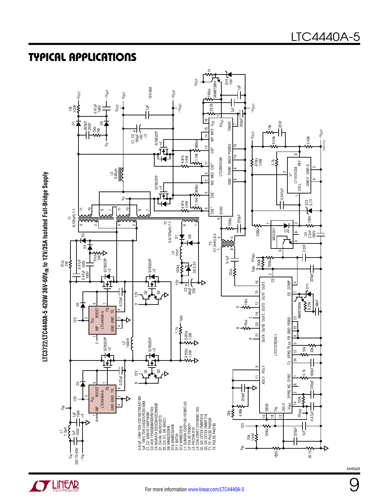### Typical Applications





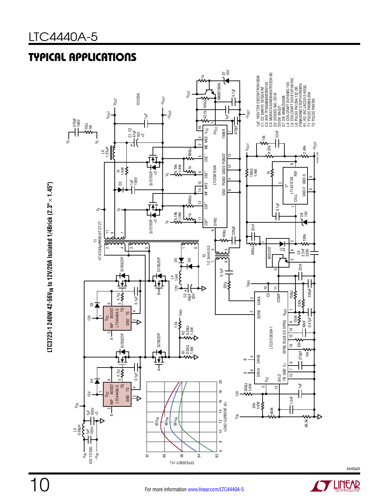### Typical Applications



**LTC3723-1 240W 42-56VIN to 12V/20A Isolated 1/4Brick (2.3"**   $\sf LTC3723\text{-}1\;240W\;42\text{-}56V \rm_{lN}\;to\;12V/20A\;Isolated\;1/4\text{Brick}\;(2.3"\times1.45")$ 

10



4440a5f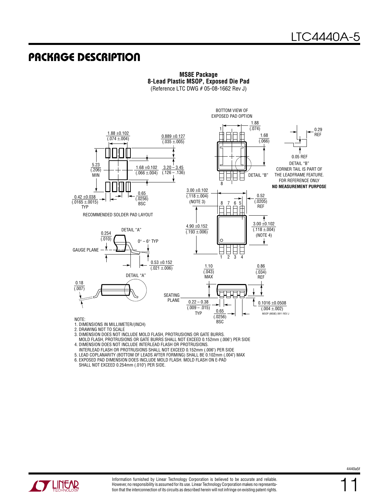### Package Description



#### **MS8E Package 8-Lead Plastic MSOP, Exposed Die Pad**

(Reference LTC DWG # 05-08-1662 Rev J)

- 1. DIMENSIONS IN MILLIMETER/(INCH)
- 2. DRAWING NOT TO SCALE
- 3. DIMENSION DOES NOT INCLUDE MOLD FLASH, PROTRUSIONS OR GATE BURRS.
- MOLD FLASH, PROTRUSIONS OR GATE BURRS SHALL NOT EXCEED 0.152mm (.006") PER SIDE
- 4. DIMENSION DOES NOT INCLUDE INTERLEAD FLASH OR PROTRUSIONS. INTERLEAD FLASH OR PROTRUSIONS SHALL NOT EXCEED 0.152mm (.006") PER SIDE
- 5. LEAD COPLANARITY (BOTTOM OF LEADS AFTER FORMING) SHALL BE 0.102mm (.004") MAX

6. EXPOSED PAD DIMENSION DOES INCLUDE MOLD FLASH. MOLD FLASH ON E-PAD

SHALL NOT EXCEED 0.254mm (.010") PER SIDE.

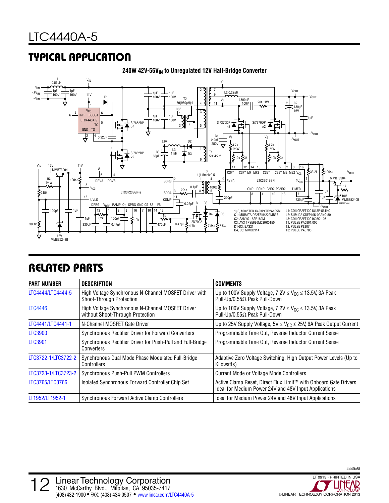### Typical Application



#### 240W 42V-56V<sub>IN</sub> to Unregulated 12V Half-Bridge Converter

### Related Parts

| <b>PART NUMBER</b>  | DESCRIPTION                                                                          | <b>COMMENTS</b>                                                                                                           |
|---------------------|--------------------------------------------------------------------------------------|---------------------------------------------------------------------------------------------------------------------------|
| LTC4444/LTC4444-5   | High Voltage Synchronous N-Channel MOSFET Driver with<br>Shoot-Through Protection    | Up to 100V Supply Voltage, $7.2V \leq V_{CC} \leq 13.5V$ , 3A Peak<br>Pull-Up/0.55Ω Peak Pull-Down                        |
| <b>LTC4446</b>      | High Voltage Synchronous N-Channel MOSFET Driver<br>without Shoot-Through Protection | Up to 100V Supply Voltage, $7.2V \leq V_{CC} \leq 13.5V$ , 3A Peak<br>Pull-Up/0.55Ω Peak Pull-Down                        |
| LTC4441/LTC4441-1   | N-Channel MOSFET Gate Driver                                                         | Up to 25V Supply Voltage, $5V \leq V_{CC} \leq 25V$ , 6A Peak Output Current                                              |
| <b>LTC3900</b>      | Synchronous Rectifier Driver for Forward Converters                                  | Programmable Time Out, Reverse Inductor Current Sense                                                                     |
| <b>LTC3901</b>      | Synchronous Rectifier Driver for Push-Pull and Full-Bridge<br>Converters             | Programmable Time Out, Reverse Inductor Current Sense                                                                     |
| LTC3722-1/LTC3722-2 | Synchronous Dual Mode Phase Modulated Full-Bridge<br>Controllers                     | Adaptive Zero Voltage Switching, High Output Power Levels (Up to<br>Kilowatts)                                            |
| LTC3723-1/LTC3723-2 | Synchronous Push-Pull PWM Controllers                                                | <b>Current Mode or Voltage Mode Controllers</b>                                                                           |
| LTC3765/LTC3766     | Isolated Synchronous Forward Controller Chip Set                                     | Active Clamp Reset, Direct Flux Limit™ with Onboard Gate Drivers<br>Ideal for Medium Power 24V and 48V Input Applications |
| LT1952/LT1952-1     | Synchronous Forward Active Clamp Controllers                                         | Ideal for Medium Power 24V and 48V Input Applications                                                                     |